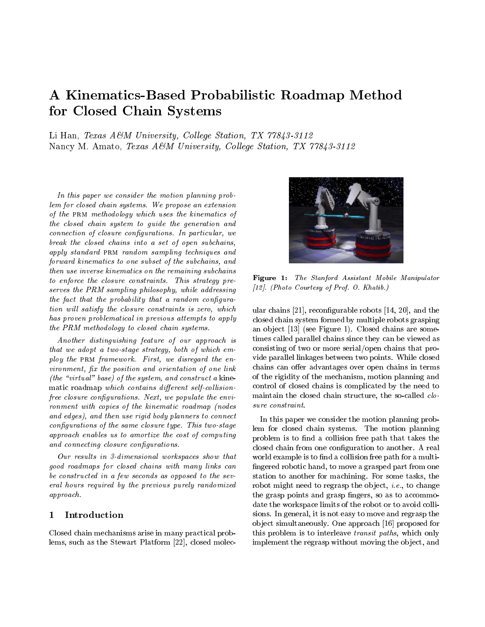# A Kinematics-Based Probabilistic Roadmap Method for Closed Chain Systems

Li Han, Texas  $A\mathcal{B}M$  University, College Station, TX 77843-3112 Nancy M. Amato, Texas  $A\mathscr{L}M$  University, College Station, TX 77843-3112

In this paper we consider the motion planning problem for closed chain systems. We propose an extension of the prm methodology which uses the kinematics of the closed chain system to guide the generation and connection of closure configurations. In particular, we break the closed chains into a set of open subchains, apply standard PRM random sampling techniques and forward kinematics to one subset of the subchains, and then use inverse kinematics on the remaining subchains to enforce the closure constraints. This strategy preserves the PRM sampling philosophy, while addressing the fact that the probability that a random configuration will satisfy the closure constraints is zero, which has proven problematical in previous attempts to apply the PRM methodology to closed chain systems.

Another distinguishing feature of our approach is that we adopt a two-stage strategy, both of which employ the PRM framework. First, we disregard the environment, fix the position and orientation of one link (the "virtual" base) of the system, and construct a kinematic roadmap which contains different self-collisionfree closure configurations. Next, we populate the environment with copies of the kinematic roadmap (nodes and edges), and then use rigid body planners to connect configurations of the same closure type. This two-stage approach enables us to amortize the cost of computing and connecting closure configurations.

Our results in 3-dimensional workspaces show that good roadmaps for closed chains with many links can be constructed in a few seconds as opposed to the several hours required by the previous purely randomized approach.

#### Introduction  $\mathbf{1}$

Closed chain mechanisms arise in many practical problems, such as the Stewart Platform [22], closed molec-



Figure 1:The Stanford Assistant Mobile Manipulator [12]. (Photo Courtesy of Prof. O. Khatib.)

ular chains  $[21]$ , reconfigurable robots  $[14, 20]$ , and the closed chain system formed by multiple robots grasping an ob ject [13] (see Figure 1). Closed chains are sometimes called parallel chains since they can be viewed as consisting of two or more serial/open chains that provide parallel linkages between two points. While closed chains can offer advantages over open chains in terms of the rigidity of the mechanism, motion planning and control of closed chains is complicated by the need to maintain the closed chain structure, the so-called closure constraint.

In this paper we consider the motion planning problem for closed chain systems. The motion planning problem is to find a collision free path that takes the closed chain from one conguration to another. A real world example is to find a collision free path for a multingered robotic hand, to move a grasped part from one station to another for machining. For some tasks, the robot might need to regrasp the object, *i.e.*, to change the grasp points and grasp fingers, so as to accommodate the workspace limits of the robot or to avoid collisions. In general, it is not easy to move and regrasp the ob ject simultaneously. One approach [16] proposed for this problem is to interleave transit paths, which only implement the regrasp without moving the ob ject, and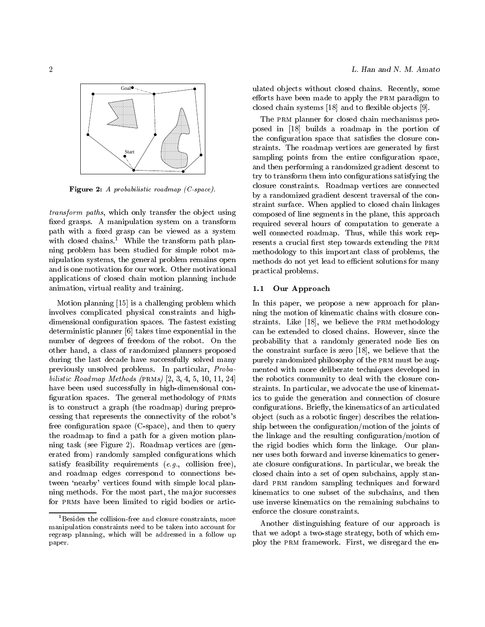The PRM planner for closed chain mechanisms proposed in [18] builds a roadmap in the portion of the configuration space that satisfies the closure constraints. The roadmap vertices are generated by first sampling points from the entire configuration space, and then performing a randomized gradient descent to try to transform them into congurations satisfying the closure constraints. Roadmap vertices are connected by a randomized gradient descent traversal of the constraint surface. When applied to closed chain linkages composed of line segments in the plane, this approach required several hours of computation to generate a well connected roadmap. Thus, while this work represents a crucial first step towards extending the PRM methodology to this important class of problems, the methods do not yet lead to efficient solutions for many practical problems.

#### 1.1 Our Approach

In this paper, we propose a new approach for planning the motion of kinematic chains with closure constraints. Like [18], we believe the prm methodology can be extended to closed chains. However, since the probability that a randomly generated node lies on the constraint surface is zero [18], we believe that the purely randomized philosophy of the PRM must be augmented with more deliberate techniques developed in the robotics community to deal with the closure constraints. In particular, we advocate the use of kinematics to guide the generation and connection of closure configurations. Briefly, the kinematics of an articulated object (such as a robotic finger) describes the relationship between the configuration/motion of the joints of the linkage and the resulting configuration/motion of the rigid bodies which form the linkage. Our planner uses both forward and inverse kinematics to generate closure congurations. In particular, we break the closed chain into a set of open subchains, apply standard PRM random sampling techniques and forward kinematics to one subset of the subchains, and then use inverse kinematics on the remaining subchains to enforce the closure constraints.

Another distinguishing feature of our approach is that we adopt a two-stage strategy, both of which employ the prm framework. First, we disregard the en-

nipulation systems, the general problem remains open and is one motivation for our work. Other motivational applications of closed chain motion planning include animation, virtual reality and training. Motion planning [15] is a challenging problem which involves complicated physical constraints and highdimensional configuration spaces. The fastest existing deterministic planner [6] takes time exponential in the number of degrees of freedom of the robot. On the other hand, a class of randomized planners proposed during the last decade have successfully solved many previously unsolved problems. In particular, Probabilistic Roadmap Methods (PRMs)  $[2, 3, 4, 5, 10, 11, 24]$ have been used successfully in high-dimensional con figuration spaces. The general methodology of PRMs is to construct a graph (the roadmap) during prepro-

cessing that represents the connectivity of the robot's free configuration space (C-space), and then to query the roadmap to find a path for a given motion planning task (see Figure 2). Roadmap vertices are (generated from) randomly sampled configurations which satisfy feasibility requirements (e.g., collision free), and roadmap edges correspond to connections between 'nearby' vertices found with simple local planning methods. For the most part, the ma jor successes for PRMs have been limited to rigid bodies or artic-

<sup>1</sup>Besides the collision-free and closure constraints, more manipulation constraints need to be taken into account for regrasp planning, which will be addressed in a follow up paper.



**Figure 2:** A probabilistic roadmap (C-space).

transform paths, which only transfer the object using xed grasps. A manipulation system on a transform path with a fixed grasp can be viewed as a system with closed chains.<sup>1</sup> While the transform path planning problem has been studied for simple robot ma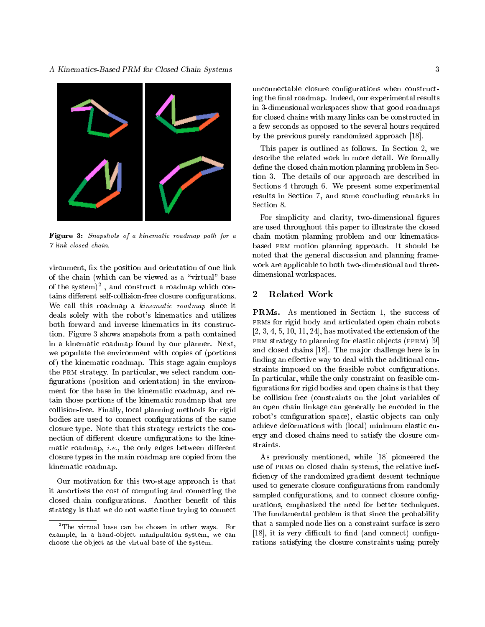A Kinematics-Based PRM for Closed Chain Systems 3



 $-$  -  $\blacksquare$  set a solution of a subset of a continuous roadmap path for a subset  $\blacksquare$ 7-link closed chain.

vironment, fix the position and orientation of one link of the chain (which can be viewed as a "virtual" base of the system)2 , and construct a roadmap which contains different self-collision-free closure configurations. We call this roadmap a kinematic roadmap since it deals solely with the robot's kinematics and utilizes both forward and inverse kinematics in its construction. Figure 3 shows snapshots from a path contained in a kinematic roadmap found by our planner. Next, we populate the environment with copies of (portions of) the kinematic roadmap. This stage again employs the PRM strategy. In particular, we select random configurations (position and orientation) in the environment for the base in the kinematic roadmap, and retain those portions of the kinematic roadmap that are collision-free. Finally, local planning methods for rigid bodies are used to connect congurations of the same closure type. Note that this strategy restricts the connection of different closure configurations to the kinematic roadmap, *i.e.*, the only edges between different closure types in the main roadmap are copied from the kinematic roadmap.

Our motivation for this two-stage approach is that it amortizes the cost of computing and connecting the closed chain configurations. Another benefit of this strategy is that we do not waste time trying to connect

unconnectable closure congurations when constructing the final roadmap. Indeed, our experimental results in 3-dimensional workspaces show that good roadmaps for closed chains with many links can be constructed in a few seconds as opposed to the several hours required by the previous purely randomized approach [18].

This paper is outlined as follows. In Section 2, we describe the related work in more detail. We formally define the closed chain motion planning problem in Section 3. The details of our approach are described in Sections 4 through 6. We present some experimental results in Section 7, and some concluding remarks in Section 8.

For simplicity and clarity, two-dimensional figures are used throughout this paper to illustrate the closed chain motion planning problem and our kinematicsbased prm motion planning approach. It should be noted that the general discussion and planning frame work are applicable to both two-dimensional and threedimensional workspaces.

#### $\bf{2}$ **Related Work**

PRMs. As mentioned in Section 1, the success of prms for rigid body and articulated open chain robots [2, 3, 4, 5, 10, 11, 24], has motivated the extension of the prm strategy to planning for elastic objects (FPRM) [9] and closed chains [18]. The ma jor challenge here is in finding an effective way to deal with the additional constraints imposed on the feasible robot congurations. In particular, while the only constraint on feasible con figurations for rigid bodies and open chains is that they be collision free (constraints on the joint variables of an open chain linkage can generally be encoded in the robot's configuration space), elastic objects can only achieve deformations with (local) minimum elastic energy and closed chains need to satisfy the closure constraints.

As previously mentioned, while [18] pioneered the use of PRMs on closed chain systems, the relative inefficiency of the randomized gradient descent technique used to generate closure configurations from randomly sampled configurations, and to connect closure configurations, emphasized the need for better techniques. The fundamental problem is that since the probability that a sampled node lies on a constraint surface is zero  $[18]$ , it is very difficult to find (and connect) configurations satisfying the closure constraints using purely

<sup>2</sup>The virtual base can be chosen in other ways. For example, in a hand-object manipulation system, we can choose the ob ject as the virtual base of the system.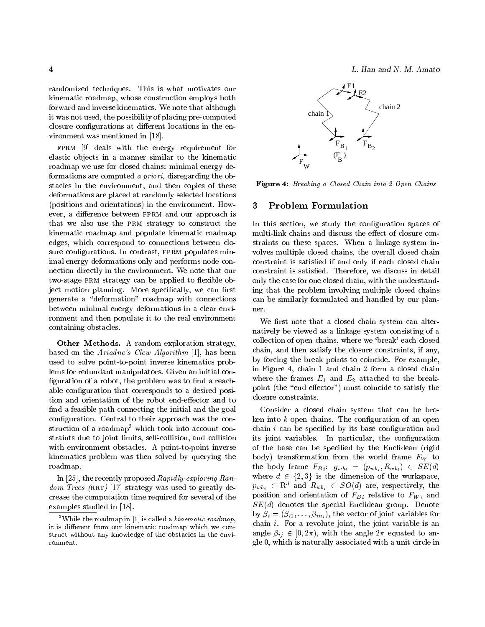4 L. Han and N. M. Amato

randomized techniques. This is what motivates our kinematic roadmap, whose construction employs both forward and inverse kinematics. We note that although it was not used, the possibility of placing pre-computed closure configurations at different locations in the environment was mentioned in [18].

FPRM [9] deals with the energy requirement for elastic ob jects in a manner similar to the kinematic roadmap we use for closed chains: minimal energy deformations are computed a priori, disregarding the obstacles in the environment, and then copies of these deformations are placed at randomly selected locations (positions and orientations) in the environment. How ever, a difference between FPRM and our approach is that we also use the prm strategy to construct the kinematic roadmap and populate kinematic roadmap edges, which correspond to connections between closure configurations. In contrast, FPRM populates minimal energy deformations only and performs node connection directly in the environment. We note that our two-stage PRM strategy can be applied to flexible object motion planning. More specifically, we can first generate a "deformation" roadmap with connections between minimal energy deformations in a clear environment and then populate it to the real environment containing obstacles.

Other Methods. A random exploration strategy, based on the Ariadne's Clew Algorithm [1], has been used to solve point-to-point inverse kinematics problems for redundant manipulators. Given an initial con figuration of a robot, the problem was to find a reachable configuration that corresponds to a desired position and orientation of the robot end-effector and to find a feasible path connecting the initial and the goal conguration. Central to their approach was the construction of a roadmap<sup>3</sup> which took into account constraints due to joint limits, self-collision, and collision with environment obstacles. A point-to-point inverse kinematics problem was then solved by querying the roadmap.

In [25], the recently proposed Rapidly-exploring Random Trees (RRT) [17] strategy was used to greatly decrease the computation time required for several of the examples studied in [18].



Figure 4: Breaking a Closed Chain into 2 Open Chains

#### 3 Problem Formulation

In this section, we study the configuration spaces of multi-link chains and discuss the effect of closure constraints on these spaces. When a linkage system in volves multiple closed chains, the overall closed chain constraint is satised if and only if each closed chain constraint is satised. Therefore, we discuss in detail only the case for one closed chain, with the understanding that the problem involving multiple closed chains can be similarly formulated and handled by our planner.

We first note that a closed chain system can alternatively be viewed as a linkage system consisting of a collection of open chains, where we `break' each closed chain, and then satisfy the closure constraints, if any, by forcing the break points to coincide. For example, in Figure 4, chain 1 and chain 2 form a closed chain where the frames  $E_1$  and  $E_2$  attached to the breakpoint (the "end effector") must coincide to satisfy the closure constraints.

Consider a closed chain system that can be broken into  $k$  open chains. The configuration of an open chain  $i$  can be specified by its base configuration and its joint variables. In particular, the conguration of the base can be specied by the Euclidean (rigid body) transformation from the world frame  $F_W$  to the body frame  $F_{B_i}: g_{wb_i} = (p_{wb_i}, R_{wb_i}) \in SE(d)$ where  $d \in \{2, 3\}$  is the dimension of the workspace,  $p_{wb_i} \in \mathbb{R}^d$  and  $R_{wb_i} \in SO(d)$  are, respectively, the position and orientation of  $F_{B_i}$  relative to  $F_W$ , and  $SE(d)$  denotes the special Euclidean group. Denote by  $\beta_i = (\beta_{i1}, \ldots, \beta_{in_i})$ , the vector of joint variables for chain  $i$ . For a revolute joint, the joint variable is an angle  $\beta_{ij} \in [0, 2\pi)$ , with the angle  $2\pi$  equated to angle 0, which is naturally associated with a unit circle in

<sup>&</sup>lt;sup>3</sup>While the roadmap in [1] is called a kinematic roadmap, it is different from our kinematic roadmap which we construct without any knowledge of the obstacles in the envi-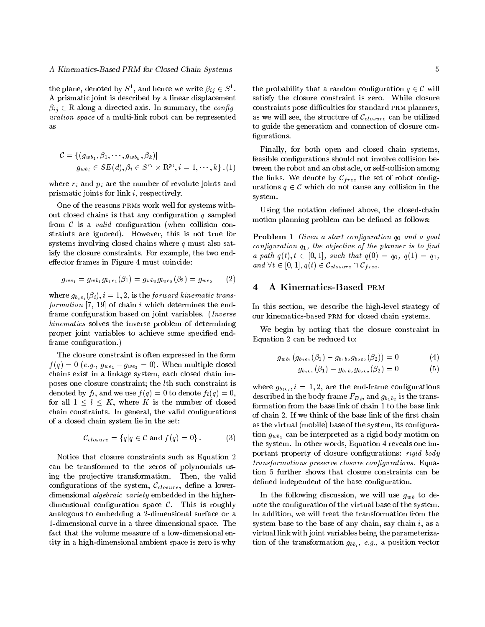#### A Kinematics-Based PRM for Closed Chain Systems 5  $\frac{1}{2}$  5  $\frac{1}{2}$  5  $\frac{1}{2}$  5  $\frac{1}{2}$  5  $\frac{1}{2}$  5  $\frac{1}{2}$  5  $\frac{1}{2}$  5  $\frac{1}{2}$  5  $\frac{1}{2}$  5  $\frac{1}{2}$  5  $\frac{1}{2}$  5  $\frac{1}{2}$  5  $\frac{1}{2}$  5  $\frac{1}{2}$  5  $\frac{$

the plane, denoted by  $S^1$ , and hence we write  $\beta_{ij} \in S^1$ . the A prismatic joint is described by a linear displacement  $\beta_{ij} \in \mathbb{R}$  along a directed axis. In summary, the *config*uration space of a multi-link robot can be represented as

$$
\mathcal{C} = \{ (g_{wb_1}, \beta_1, \cdots, g_{wb_k}, \beta_k) | \newline g_{wb_i} \in SE(d), \beta_i \in S^{r_i} \times \mathbb{R}^{p_i}, i = 1, \cdots, k \} \cdot (1) \qquad \text{tw}
$$

where  $r_i$  and  $p_i$  are the number of revolute joints and prismatic joints for link i, respectively.

One of the reasons PRMs work well for systems without closed chains is that any configuration q sampled from  $\mathcal C$  is a *valid* configuration (when collision constraints are ignored). However, this is not true for systems involving closed chains where  $q$  must also satisfy the closure constraints. For example, the two endeffector frames in Figure 4 must coincide:

$$
g_{we_1} = g_{wb_1}g_{b_1e_1}(\beta_1) = g_{wb_2}g_{b_2e_2}(\beta_2) = g_{we_2} \qquad (2)
$$

where  $g_{b_i e_i}(\beta_i), i = 1, 2$ , is the forward kinematic transformation  $[7, 19]$  of chain i which determines the endframe configuration based on joint variables. *(Inverse* kinematics solves the inverse problem of determining proper joint variables to achieve some specied endframe configuration.)

The closure constraint is often expressed in the form  $f(y)=0$  (e.g.,  $g_{we_1} - g_{we_2} = 0$ ). When multiple closed chains exist in a linkage system, each closed chain imposes one closure constraint; the lth such constraint is denoted by  $f_l$ , and we use  $f(q) = 0$  to denote  $f_l(q) = 0$ , for all  $1 \leq l \leq K$ , where K is the number of closed chain constraints. In general, the valid congurations of a closed chain system lie in the set:

$$
\mathcal{C}_{closure} = \{ q | q \in \mathcal{C} \text{ and } f(q) = 0 \}. \tag{3}
$$

Notice that closure constraints such as Equation 2 can be transformed to the zeros of polynomials using the projective transformation. Then, the valid configurations of the system,  $\mathcal{C}_{closure}$ , define a lowerdimensional algebraic variety embedded in the higherdimensional configuration space  $C$ . This is roughly analogous to embedding a 2-dimensional surface or a 1-dimensional curve in a three dimensional space. The fact that the volume measure of a low-dimensional entity in a high-dimensional ambient space is zero is why

the probability that a random configuration  $q \in \mathcal{C}$  will satisfy the closure constraint is zero. While closure constraints pose difficulties for standard PRM planners, as we will see, the structure of  $C_{closure}$  can be utilized to guide the generation and connection of closure con figurations.

Finally, for both open and closed chain systems, feasible configurations should not involve collision between the robot and an obstacle, or self-collision among the links. We denote by  $\mathcal{C}_{free}$  the set of robot configurations  $q \in \mathcal{C}$  which do not cause any collision in the system.

Using the notation defined above, the closed-chain motion planning problem can be defined as follows:

**Problem 1** Given a start configuration  $q_0$  and a goal configuration  $q_1$ , the objective of the planner is to find a path  $q(t), t \in [0, 1]$ , such that  $q(0) = q_0, q(1) = q_1$ , and  $\forall t \in [0, 1], q(t) \in \mathcal{C}_{closure} \cap \mathcal{C}_{free}$ .

#### 4 A Kinematics-Based PRM

In this section, we describe the high-level strategy of our kinematics-based prm for closed chain systems.

We begin by noting that the closure constraint in Equation 2 can be reduced to:

$$
g_{wb_1}(g_{b_1e_1}(\beta_1) - g_{b_1b_2}g_{b_2e_2}(\beta_2)) = 0 \tag{4}
$$

$$
g_{b_1e_1}(\beta_1) - g_{b_1b_2}g_{b_2e_2}(\beta_2) = 0 \tag{5}
$$

where  $g_{b_i e_i}$ ,  $i = 1, 2$ , are the end-frame configurations described in the body frame  $F_{B_i}$ , and  $g_{b_1 b_2}$  is the transformation from the base link of chain 1 to the base link of chain 2. If we think of the base link of the first chain as the virtual (mobile) base of the system, its configuration  $g_{wb_1}$  can be interpreted as a rigid body motion on the system. In other words, Equation 4 reveals one important property of closure configurations: rigid body transformations preserve closure configurations. Equation 5 further shows that closure constraints can be defined independent of the base configuration.

In the following discussion, we will use  $g_{wb}$  to denote the conguration of the virtual base of the system. In addition, we will treat the transformation from the system base to the base of any chain, say chain  $i$ , as a virtual link with joint variables being the parameterization of the transformation  $g_{bb_i}$ , e.g., a position vector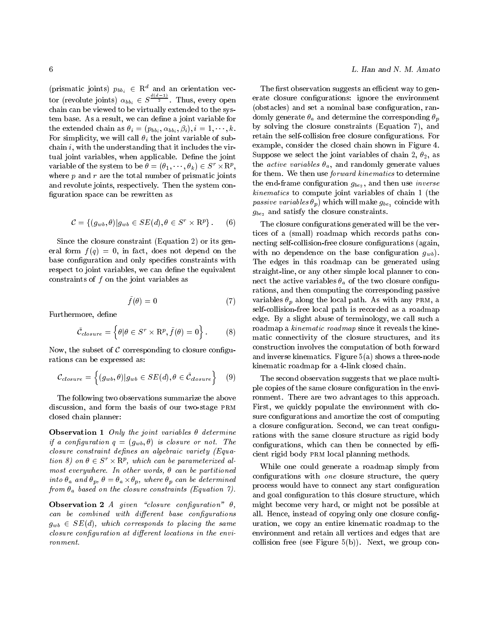(prismatic joints)  $p_{bb_i} \in \mathbb{R}^d$  and an orientation vector (revolute joints)  $\alpha_{bb_i} \in S^{\frac{(\alpha_1-\alpha_2)}{2}}$ . Thus, every open erate chain can be viewed to be virtually extended to the system base. As a result, we can define a joint variable for the extended chain as  $\theta_i = (p_{bb_i}, \alpha_{bb_i}, \beta_i), i = 1, \cdots, k$ . For simplicity, we will call  $\theta_i$  the joint variable of subchain  $i$ , with the understanding that it includes the virtual joint variables, when applicable. Define the joint variable of the system to be  $\theta = (\theta_1, \dots, \theta_k) \in S^r \times \mathbb{R}^p$ , where  $p$  and  $r$  are the total number of prismatic joints and revolute joints, respectively. Then the system con figuration space can be rewritten as

$$
\mathcal{C} = \{(g_{wb}, \theta)|g_{wb} \in SE(d), \theta \in S^r \times \mathbf{R}^p\}.
$$
 (6)

Since the closure constraint (Equation 2) or its general form  $f(q) = 0$ , in fact, does not depend on the base configuration and only specifies constraints with respect to joint variables, we can define the equivalent constraints of <sup>f</sup> on the joint variables as

$$
\tilde{f}(\theta) = 0 \tag{7}
$$

Furthermore, define

$$
\tilde{\mathcal{C}}_{closure} = \left\{ \theta | \theta \in S^r \times \mathbb{R}^p, \tilde{f}(\theta) = 0 \right\}.
$$
 (8)

Now, the subset of  $\mathcal C$  corresponding to closure configurations can be expressed as:

$$
\mathcal{C}_{closure} = \left\{ (g_{wb}, \theta) | g_{wb} \in SE(d), \theta \in \tilde{\mathcal{C}}_{closure} \right\} \quad (9)
$$

The following two observations summarize the above discussion, and form the basis of our two-stage prm closed chain planner:

**Observation 1** Only the joint variables  $\theta$  determine if a configuration  $q = (q_{wb}, \theta)$  is closure or not. The  $closure$  constraint defines an algebraic variety (Equation 8) on  $\theta \in S^r \times \mathbb{R}^p$ , which can be parameterized almost everywhere. In other words,  $\theta$  can be partitioned into  $\theta_a$  and  $\theta_p$ ,  $\theta = \theta_a \times \theta_p$ , where  $\theta_p$  can be determined from  $\theta_a$  based on the closure constraints (Equation 7).

**Observation 2** A given "closure configuration"  $\theta$ , can be combined with different base configurations  $g_{wb} \in SE(d)$ , which corresponds to placing the same  $closure$  configuration at different locations in the environment.

The first observation suggests an efficient way to generate closure congurations: ignore the environment (obstacles) and set a nominal base configuration, randomly generate  $\theta_a$  and determine the corresponding  $\theta_p$ by solving the closure constraints (Equation 7), and retain the self-collision free closure congurations. For example, consider the closed chain shown in Figure 4. Suppose we select the joint variables of chain 2,  $\theta_2$ , as the *active variables*  $\theta_a$ , and randomly generate values for them. We then use forward kinematics to determine the end-frame configuration  $g_{be_2}$ , and then use *inverse* kinematics to compute joint variables of chain 1 (the *passive variables*  $\theta_p$ ) which will make  $g_{be_1}$  coincide with  $g_{be_2}$  and satisfy the closure constraints.

 $\sum_{n=1}^{\infty}$  matic connectivity of the closure structures, and its The closure configurations generated will be the vertices of a (small) roadmap which records paths connecting self-collision-free closure congurations (again, with no dependence on the base configuration  $g_{wb}$ ). The edges in this roadmap can be generated using straight-line, or any other simple local planner to connect the active variables  $\theta_a$  of the two closure configurations, and then computing the corresponding passive variables  $\theta_p$  along the local path. As with any PRM, a self-collision-free local path is recorded as a roadmap edge. By a slight abuse of terminology, we call such a roadmap a kinematic roadmap since it reveals the kineconstruction involves the computation of both forward and inverse kinematics. Figure 5(a) shows a three-node kinematic roadmap for a 4-link closed chain.

> The second observation suggests that we place multiple copies of the same closure conguration in the environment. There are two advantages to this approach. First, we quickly populate the environment with closure congurations and amortize the cost of computing a closure configuration. Second, we can treat configurations with the same closure structure as rigid body configurations, which can then be connected by efficient rigid body prm local planning methods.

> While one could generate a roadmap simply from configurations with *one* closure structure, the query process would have to connect any start conguration and goal configuration to this closure structure, which might become very hard, or might not be possible at all. Hence, instead of copying only one closure conguration, we copy an entire kinematic roadmap to the environment and retain all vertices and edges that are collision free (see Figure 5(b)). Next, we group con-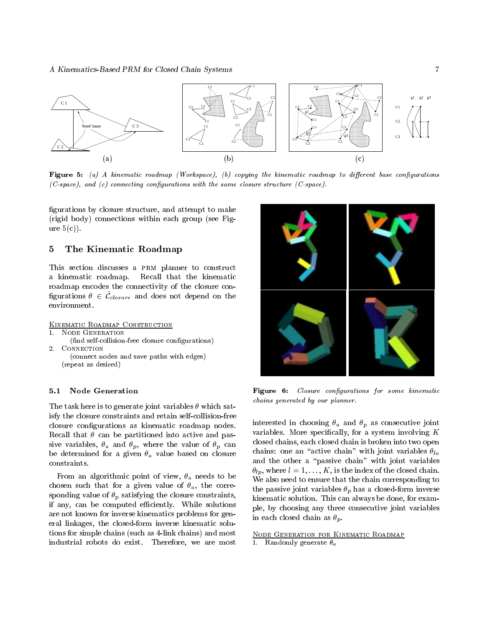

Figure 5: (a) A kinematic roadmap (Workspace), (b) copying the kinematic roadmap to dierent base congurations (C-space), and (c) connecting configurations with the same closure structure (C-space).

figurations by closure structure, and attempt to make (rigid body) connections within each group (see Figure  $5(c)$ ).

#### 5 The Kinematic Roadmap

This section discusses a PRM planner to construct a kinematic roadmap. Recall that the kinematic roadmap encodes the connectivity of the closure con figurations  $\theta \,\in\, {\mathcal{C}}_{closure}$  and does not depend on the  $\qquad \quad \parallel$ environment.

Kinematic Roadmap Construction

**NODE GENERATION** 

- (find self-collision-free closure configurations)  $\mathfrak{D}$ . **CONNECTION** (connect nodes and save paths with edges)
	- (repeat as desired)

#### 5.1 Node Generation

The task here is to generate joint variables  $\theta$  which satisfy the closure constraints and retain self-collision-free closure congurations as kinematic roadmap nodes. Recall that  $\theta$  can be partitioned into active and passive variables,  $\theta_a$  and  $\theta_p$ , where the value of  $\theta_p$  can be determined for a given  $\theta_a$  value based on closure constraints.

From an algorithmic point of view,  $\theta_a$  needs to be chosen such that for a given value of  $\theta_a$ , the corresponding value of  $\theta_p$  satisfying the closure constraints, if any, can be computed efficiently. While solutions are not known for inverse kinematics problems for general linkages, the closed-form inverse kinematic solutions for simple chains (such as 4-link chains) and most industrial robots do exist. Therefore, we are most



Figure 6: Closure congurations for some kinematic chains generated by our planner.

interested in choosing  $\theta_a$  and  $\theta_p$  as consecutive joint variables. More specifically, for a system involving  $K$ closed chains, each closed chain is broken into two open chains: one an "active chain" with joint variables  $\theta_{la}$ and the other a "passive chain" with joint variables  $\theta_{lp}$ , where  $l = 1, \ldots, K$ , is the index of the closed chain. We also need to ensure that the chain corresponding to the passive joint variables  $\theta_p$  has a closed-form inverse kinematic solution. This can always be done, for example, by choosing any three consecutive joint variables in each closed chain as  $\theta_p$ .

Node Generation for Kinematic Roadmap

<sup>1.</sup> Randomly generate  $\theta_a$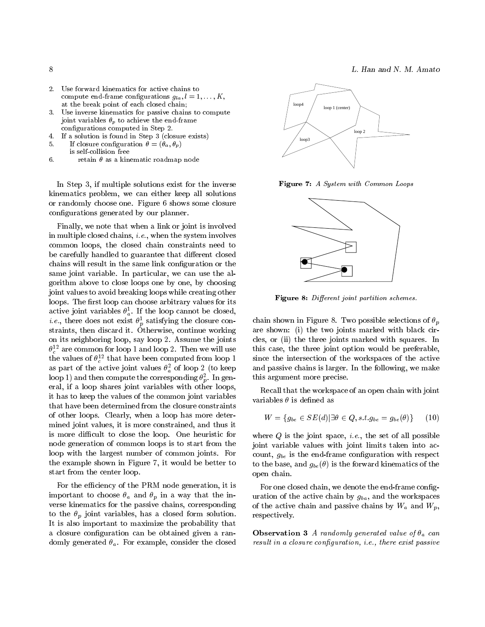8 **S L. Han and N. M. Amato** 

- 2. Use forward kinematics for active chains to compute end-frame configurations  $g_{la}, l = 1, \ldots, K$ , at the break point of each closed chain;
- $\mathbf{3}$ Use inverse kinematics for passive chains to compute joint variables  $\theta_p$  to achieve the end-frame configurations computed in Step 2.
- $\overline{4}$ . If a solution is found in Step 3 (closure exists)
- 5. If closure configuration  $\theta = (\theta_a, \theta_p)$ is self-collision free
- 6. retain  $\theta$  as a kinematic roadmap node

In Step 3, if multiple solutions exist for the inverse kinematics problem, we can either keep all solutions or randomly choose one. Figure 6 shows some closure congurations generated by our planner.

Finally, we note that when a link or joint is involved in multiple closed chains, i.e., when the system involves common loops, the closed chain constraints need to be carefully handled to guarantee that different closed chains will result in the same link conguration or the same joint variable. In particular, we can use the algorithm above to close loops one by one, by choosing joint values to avoid breaking loops while creating other loops. The first loop can choose arbitrary values for its active joint variables  $\sigma_a$ . It the loop cannot be closed, *i.e.*, there does not exist  $\sigma_p$  satisfying the closure constraints, then discard it. Otherwise, continue working on its neighboring loop, say loop 2. Assume the joints  $\sigma_c$  are co  $c$  are common for loop  $r$  and  $r$  and  $r$  and  $r$  and  $r$  and we will use  $\cdots$ the values of  $\sigma_c^2$  that have been computed from loop 1 since as part of the active joint values  $\sigma_a^2$  of loop 2 (to keep and loop 1) and then compute the corresponding  $\sigma_{\bar{n}}$ . In general, if a loop shares joint variables with other loops, it has to keep the values of the common joint variables that have been determined from the closure constraints of other loops. Clearly, when a loop has more determined joint values, it is more constrained, and thus it is more difficult to close the loop. One heuristic for node generation of common loops is to start from the loop with the largest number of common joints. For the example shown in Figure 7, it would be better to start from the center loop.

For the efficiency of the PRM node generation, it is important to choose  $\theta_a$  and  $\theta_p$  in a way that the inverse kinematics for the passive chains, corresponding of the active chain and passive chains by  $W_a$  and  $W_p$ , to the  $\theta_p$  joint variables, has a closed form solution. It is also important to maximize the probability that a closure conguration can be obtained given a randomly generated  $\theta_a$ . For example, consider the closed



**Figure** *1: A system with Common Loops* 



**Figure 8:** Different form partition schemes.

chain shown in Figure 8. Two possible selections of  $\theta_p$ are shown: (i) the two joints marked with black circles, or (ii) the three joints marked with squares. In this case, the three joint option would be preferable, since the intersection of the workspaces of the active and passive chains is larger. In the following, we make this argument more precise.

Recall that the workspace of an open chain with joint variables  $\theta$  is defined as

$$
W = \{g_{be} \in SE(d) | \exists \theta \in Q, s.t. g_{be} = g_{be}(\theta)\} \qquad (10)
$$

where  $Q$  is the joint space, *i.e.*, the set of all possible joint variable values with joint limits taken into account,  $g_{be}$  is the end-frame configuration with respect to the base, and  $g_{be}(\theta)$  is the forward kinematics of the open chain.

For one closed chain, we denote the end-frame configuration of the active chain by  $g_{ba}$ , and the workspaces respectively.

**Observation 3** A randomly generated value of  $\theta_a$  can result in a closure configuration, *i.e.*, there exist passive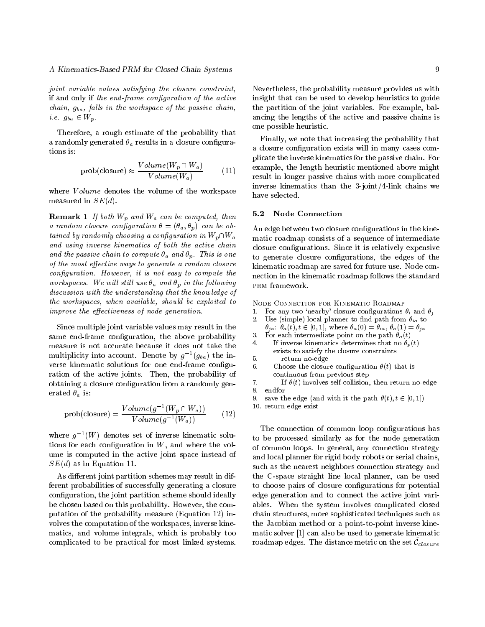#### A Kinematics-Based PRM for Closed Chain Systems 9

joint variable values satisfying the closure constraint, if and only if the end-frame configuration of the active chain,  $g_{ba}$ , falls in the workspace of the passive chain, *i.e.*  $g_{ba} \in W_p$ .

Therefore, a rough estimate of the probability that a randomly generated  $\theta_a$  results in a closure configurations is:

$$
prob(\text{closure}) \approx \frac{Volume(W_p \cap W_a)}{Volume(W_a)} \tag{11}
$$

where Volume denotes the volume of the workspace measured in  $SE(d)$ .

**Remark 1** If both  $W_p$  and  $W_a$  can be computed, then a random closure configuration  $\theta = (\theta_a, \theta_p)$  can be obtained by randomly choosing a configuration in  $W_p\cap W_a$ and using inverse kinematics of both the active chain and the passive chain to compute  $\theta_a$  and  $\theta_p$ . This is one of the most effective ways to generate a random closure configuration. However, it is not easy to compute the workspaces. We will still use  $\theta_a$  and  $\theta_p$  in the following discussion with the understanding that the knowledge of the workspaces, when available, should be exploited to improve the effectiveness of node generation.

Since multiple joint variable values may result in the same end-frame configuration, the above probability  $\frac{3}{4}$ . measure is not accurate because it does not take the multiplicity into account. Denote by  $g^{-1}(g_{ba})$  the inverse kinematic solutions for one end-frame conguration of the active joints. Then, the probability of obtaining a closure configuration from a randomly generated  $\theta_a$  is:

$$
prob(\text{closure}) = \frac{Volume(g^{-1}(W_p \cap W_a))}{Volume(g^{-1}(W_a))}
$$
(12)

where  $g^{-1}(W)$  denotes set of inverse kinematic solutions for each configuration in  $W$ , and where the volume is computed in the active joint space instead of  $SE(d)$  as in Equation 11.

As different joint partition schemes may result in different probabilities of successfully generating a closure configuration, the joint partition scheme should ideally be chosen based on this probability. However, the computation of the probability measure (Equation 12) in volves the computation of the workspaces, inverse kinematics, and volume integrals, which is probably too complicated to be practical for most linked systems.

Nevertheless, the probability measure provides us with insight that can be used to develop heuristics to guide the partition of the joint variables. For example, balancing the lengths of the active and passive chains is one possible heuristic.

 $\mathcal{L}$  result in longer passive chains with more complicated Finally, we note that increasing the probability that a closure conguration exists will in many cases complicate the inverse kinematics for the passive chain. For example, the length heuristic mentioned above might inverse kinematics than the 3-joint/4-link chains we have selected.

### 5.2 Node Connection

An edge between two closure configurations in the kinematic roadmap consists of a sequence of intermediate closure congurations. Since it is relatively expensive to generate closure congurations, the edges of the kinematic roadmap are saved for future use. Node connection in the kinematic roadmap follows the standard PRM framework.

Node Connection for Kinematic Roadmap

- 1. For any two 'nearby' closure configurations  $\theta_i$  and  $\theta_j$
- Use (simple) local planner to find path from  $\theta_{ia}$  to  $\theta_{ia}$ :  $\theta_a(t), t \in [0, 1]$ , where  $\theta_a(0) = \theta_{ia}, \theta_a(1) = \theta_{ja}$
- 3. For each intermediate point on the path  $\theta_a(t)$
- If inverse kinematics determines that no  $\theta_p(t)$ exists to satisfy the closure constraints
- 5. return no-edge
- 6. Choose the closure configuration  $\theta(t)$  that is continuous from previous step
- 7. If  $\theta(t)$  involves self-collision, then return no-edge 8. endfor
- 9. save the edge (and with it the path  $\theta(t), t \in [0, 1]$ )

10. return edge-exist

The connection of common loop configurations has to be processed similarly as for the node generation of common loops. In general, any connection strategy and local planner for rigid body robots or serial chains, such as the nearest neighbors connection strategy and the C-space straight line local planner, can be used to choose pairs of closure congurations for potential edge generation and to connect the active joint variables. When the system involves complicated closed chain structures, more sophisticated techniques such as the Jacobian method or a point-to-point inverse kinematic solver [1] can also be used to generate kinematic roadmap edges. The distance metric on the set  $\mathcal{C}_{closure}$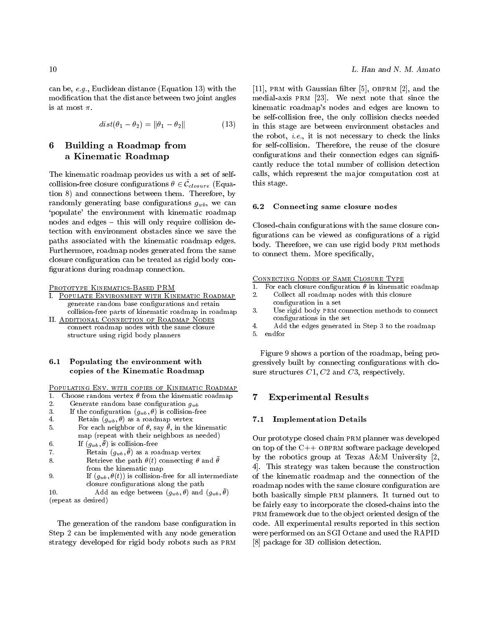$$
dist(\theta_1 - \theta_2) = \|\theta_1 - \theta_2\| \tag{13}
$$

#### 6 6 Building a Roadmap from a Kinematic Roadmap

The kinematic roadmap provides us with a set of selfcollision-free closure configurations  $\theta \in \mathcal{C}_{closure}$  (Equation 8) and connections between them. Therefore, by randomly generating base configurations  $g_{wb}$ , we can 6.2 `populate' the environment with kinematic roadmap nodes and edges  $-$  this will only require collision detection with environment obstacles since we save the paths associated with the kinematic roadmap edges. Furthermore, roadmap nodes generated from the same closure conguration can be treated as rigid body con figurations during roadmap connection.

PROTOTYPE KINEMATICS-BASED PRM

- I. Populate Environment with Kinematic Roadmap generate random base congurations and retain collision-free parts of kinematic roadmap in roadmap
- II. Additional Connection of Roadmap Nodes connect roadmap nodes with the same closure structure using rigid body planners

#### 6.1 Populating the environment with copies of the Kinematic Roadmap

POPULATING ENV. WITH COPIES OF KINEMATIC ROADMAP

- $\overline{1}$ Choose random vertex  $\theta$  from the kinematic roadmap 7
- 2. Generate random base configuration  $g_{wb}$ 3. If the configuration  $(g_{wb}, \theta)$  is collision-free 4. Retain  $(g_{wb}, \theta)$  as a roadmap vertex
- 5. For each neighbor of  $\theta$ , say  $\bar{\theta}$ , in the kinematic map (repeat with their neighbors as needed)
- $\mathfrak{u}$ ,  $\mathfrak{u}$  is collision-free
- $\mu$ . Retain  $(q_w_b, v)$  as a roadmap vertex
- $\delta$ . Retrieve the path  $v(t)$  connecting  $v$  and  $v$ from the kinematic map
- 9. If  $(q_{wb}, \theta(t))$  is collision-free for all intermediate closure congurations along the path

10. Add an edge between  $(g_{wb}, \theta)$  and  $(g_{wb}, \bar{\theta})$ (repeat as desired)

The generation of the random base configuration in Step 2 can be implemented with any node generation strategy developed for rigid body robots such as prm [11], PRM with Gaussian filter [5], OBPRM  $[2]$ , and the medial-axis prm [23]. We next note that since the kinematic roadmap's nodes and edges are known to be self-collision free, the only collision checks needed in this stage are between environment obstacles and the robot, i.e., it is not necessary to check the links for self-collision. Therefore, the reuse of the closure configurations and their connection edges can significantly reduce the total number of collision detection calls, which represent the ma jor computation cost at this stage.

#### Connecting same closure nodes

Closed-chain configurations with the same closure configurations can be viewed as configurations of a rigid body. Therefore, we can use rigid body prm methods to connect them. More specifically,

|  | CONNECTING NODES OF SAME CLOSURE TYPE |  |  |  |  |  |  |
|--|---------------------------------------|--|--|--|--|--|--|
|--|---------------------------------------|--|--|--|--|--|--|

- $\mathbf{1}$ . For each closure configuration  $\theta$  in kinematic roadmap
- 2. Collect all roadmap nodes with this closure conguration in a set
- 3. Use rigid body prm connection methods to connect congurations in the set
- 4. Add the edges generated in Step 3 to the roadmap  $5.$ 5. endfor

Figure 9 shows a portion of the roadmap, being progressively built by connecting congurations with closure structures  $C1$ ,  $C2$  and  $C3$ , respectively.

### **Experimental Results**

#### 7.1 Implementation Details

Our prototype closed chain PRM planner was developed on top of the  $C++$  OBPRM software package developed by the robotics group at Texas A&M University [2, 4]. This strategy was taken because the construction of the kinematic roadmap and the connection of the roadmap nodes with the same closure conguration are both basically simple prm planners. It turned out to be fairly easy to incorporate the closed-chains into the prm framework due to the ob ject oriented design of the code. All experimental results reported in this section were performed on an SGI Octane and used the RAPID [8] package for 3D collision detection.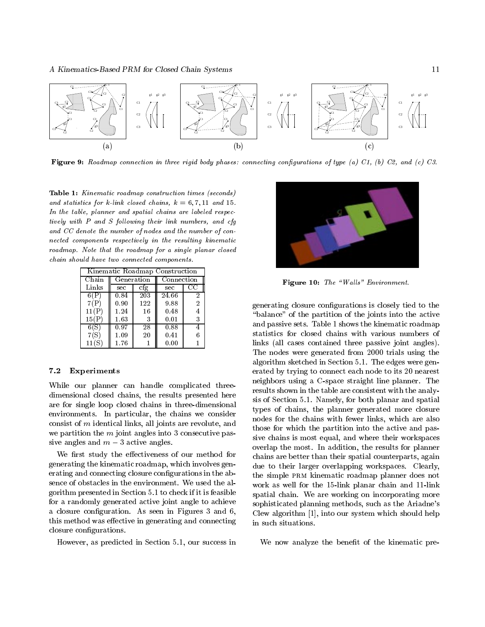

Figure 9: Roadmap connection in three rigid body phases: connecting congurations of type (a) C1, (b) C2, and (c) C3.

**Table 1:** Kinematic roadmap construction times (seconds) and statistics for k-link closed chains,  $k = 6, 7, 11$  and 15. In the table, planner and spatial chains are labeled respectively with  $P$  and  $S$  following their link numbers, and cfq and CC denote the number of nodes and the number of con nected components respectively in the resulting kinematic roadmap. Note that the roadmap for a single planar closed chain should have two connected components.

|       |            |     | Kinematic Roadmap Construction |   |  |
|-------|------------|-----|--------------------------------|---|--|
| Chain | Generation |     | Connection                     |   |  |
| Links | sec        | ctg | sec                            |   |  |
|       | 0.84       | 203 | 24.66                          | 2 |  |
|       | 0.90       | 122 | 9.88                           | 2 |  |
|       | 1.24       | 16  | 0.48                           |   |  |
| 15(F) | 1.63       | 3   | 0.01                           | 3 |  |
|       | 0.97       | 28  | 0.88                           |   |  |
|       | 1.09       | 20  | 0.41                           | 6 |  |
|       | 1.76       |     | 0.00                           |   |  |

#### 7.2 Experiments

While our planner can handle complicated threedimensional closed chains, the results presented here are for single loop closed chains in three-dimensional environments. In particular, the chains we consider consist of <sup>m</sup> identical links, all joints are revolute, and we partition the *m* joint angles into 3 consecutive passive angles and  $m-3$  active angles.

We first study the effectiveness of our method for generating the kinematic roadmap, which involves generating and connecting closure congurations in the absence of obstacles in the environment. We used the algorithm presented in Section 5.1 to check if it is feasible for a randomly generated active joint angle to achieve a closure conguration. As seen in Figures 3 and 6, this method was effective in generating and connecting closure congurations.

However, as predicted in Section 5.1, our success in



**Figure 10:** The Walls Environment.

generating closure congurations is closely tied to the "balance" of the partition of the joints into the active and passive sets. Table 1 shows the kinematic roadmap statistics for closed chains with various numbers of links (all cases contained three passive joint angles). The nodes were generated from 2000 trials using the algorithm sketched in Section 5.1. The edges were generated by trying to connect each node to its 20 nearest neighbors using a C-space straight line planner. The results shown in the table are consistent with the analysis of Section 5.1. Namely, for both planar and spatial types of chains, the planner generated more closure nodes for the chains with fewer links, which are also those for which the partition into the active and passive chains is most equal, and where their workspaces overlap the most. In addition, the results for planner chains are better than their spatial counterparts, again due to their larger overlapping workspaces. Clearly, the simple prm kinematic roadmap planner does not work as well for the 15-link planar chain and 11-link spatial chain. We are working on incorporating more sophisticated planning methods, such as the Ariadne's Clew algorithm [1], into our system which should help in such situations.

We now analyze the benefit of the kinematic pre-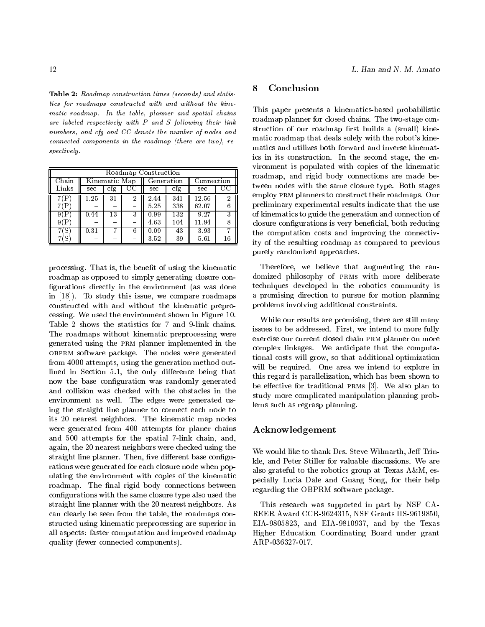Table 2: Roadmap construction times (seconds) and statistics for roadmaps constructed with and without the kinematic roadmap. In the table, planner and spatial chains are labeled respectively with  $P$  and  $S$  following their link numbers, and cfg and CC denote the number of nodes and connected components in the roadmap (there are two), re spectively.

|       |               |     |  | Roadmap Construction |            |       |    |
|-------|---------------|-----|--|----------------------|------------|-------|----|
| Chain | Kinematic Map |     |  | Generation           | Connection |       |    |
| Links | sec           | ctg |  | sec                  | ctg        | sec   |    |
|       | $1.25\,$      | 31  |  | 2.44                 | 341        | 12.56 |    |
| Ρ     |               |     |  | 5.25                 | 338        | 62.07 |    |
|       | 0.44          | 13  |  | 0.99                 | 132        | 9.27  | 3  |
| 91 P  |               |     |  | 4.63                 | 104        | 11.94 | 8  |
| 7(S   | 0.31          |     |  | 0.09                 | 43         | 3.93  |    |
| 7(S)  |               |     |  | 3.52                 | 39         | 5.61  | 16 |

processing. That is, the benefit of using the kinematic roadmap as opposed to simply generating closure con figurations directly in the environment (as was done in [18]). To study this issue, we compare roadmaps constructed with and without the kinematic preprocessing. We used the environment shown in Figure 10. Table 2 shows the statistics for 7 and 9-link chains. The roadmaps without kinematic preprocessing were generated using the prm planner implemented in the obprm software package. The nodes were generated from 4000 attempts, using the generation method outlined in Section 5.1, the only difference being that now the base configuration was randomly generated and collision was checked with the obstacles in the environment as well. The edges were generated using the straight line planner to connect each node to its 20 nearest neighbors. The kinematic map nodes were generated from 400 attempts for planer chains and 500 attempts for the spatial 7-link chain, and, again, the 20 nearest neighbors were checked using the straight line planner. Then, five different base configurations were generated for each closure node when populating the environment with copies of the kinematic roadmap. The final rigid body connections between configurations with the same closure type also used the straight line planner with the 20 nearest neighbors. As can clearly be seen from the table, the roadmaps constructed using kinematic preprocessing are superior in all aspects: faster computation and improved roadmap quality (fewer connected components).

# 8 Conclusion

This paper presents a kinematics-based probabilistic roadmap planner for closed chains. The two-stage construction of our roadmap first builds a (small) kinematic roadmap that deals solely with the robot's kinematics and utilizes both forward and inverse kinematics in its construction. In the second stage, the environment is populated with copies of the kinematic roadmap, and rigid body connections are made between nodes with the same closure type. Both stages employ prm planners to construct their roadmaps. Our preliminary experimental results indicate that the use of kinematics to guide the generation and connection of closure configurations is very beneficial, both reducing the computation costs and improving the connectivity of the resulting roadmap as compared to previous purely randomized approaches.

Therefore, we believe that augmenting the randomized philosophy of PRMs with more deliberate techniques developed in the robotics community is a promising direction to pursue for motion planning problems involving additional constraints.

While our results are promising, there are still many issues to be addressed. First, we intend to more fully exercise our current closed chain PRM planner on more complex linkages. We anticipate that the computational costs will grow, so that additional optimization will be required. One area we intend to explore in this regard is parallelization, which has been shown to be effective for traditional PRMs [3]. We also plan to study more complicated manipulation planning problems such as regrasp planning.

# Acknowledgement

We would like to thank Drs. Steve Wilmarth, Jeff Trinkle, and Peter Stiller for valuable discussions. We are also grateful to the robotics group at Texas A&M, especially Lucia Dale and Guang Song, for their help regarding the OBPRM software package.

This research was supported in part by NSF CA-REER Award CCR-9624315, NSF Grants IIS-9619850, EIA-9805823, and EIA-9810937, and by the Texas Higher Education Coordinating Board under grant ARP-036327-017.